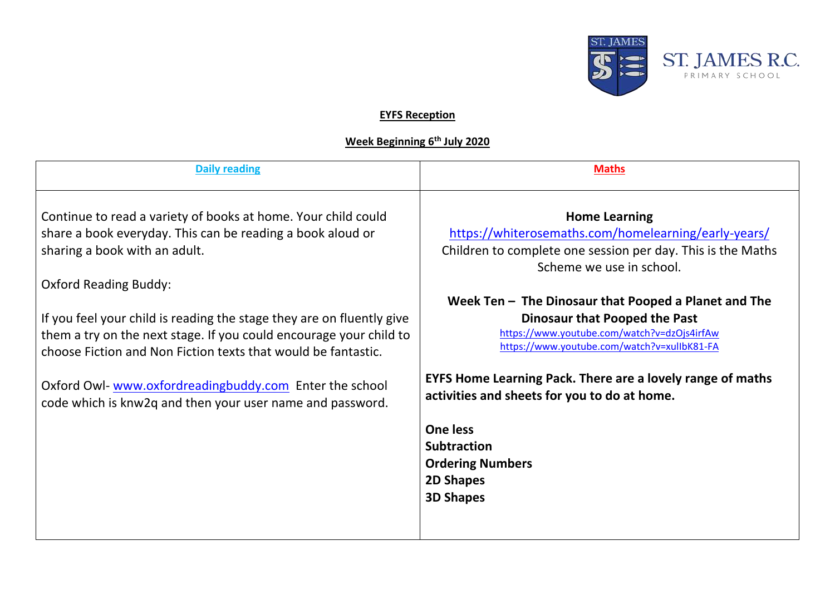

## **EYFS Reception**

## **Week Beginning 6th July 2020**

| <b>Daily reading</b>                                                                                                                                                                                                                                                                                                                        | <b>Maths</b>                                                                                                                                                                                                                                                                                                                                                          |
|---------------------------------------------------------------------------------------------------------------------------------------------------------------------------------------------------------------------------------------------------------------------------------------------------------------------------------------------|-----------------------------------------------------------------------------------------------------------------------------------------------------------------------------------------------------------------------------------------------------------------------------------------------------------------------------------------------------------------------|
| Continue to read a variety of books at home. Your child could<br>share a book everyday. This can be reading a book aloud or<br>sharing a book with an adult.<br><b>Oxford Reading Buddy:</b><br>If you feel your child is reading the stage they are on fluently give<br>them a try on the next stage. If you could encourage your child to | <b>Home Learning</b><br>https://whiterosemaths.com/homelearning/early-years/<br>Children to complete one session per day. This is the Maths<br>Scheme we use in school.<br>Week Ten - The Dinosaur that Pooped a Planet and The<br><b>Dinosaur that Pooped the Past</b><br>https://www.youtube.com/watch?v=dzOjs4irfAw<br>https://www.youtube.com/watch?v=xulIbK81-FA |
| choose Fiction and Non Fiction texts that would be fantastic.<br>Oxford Owl-www.oxfordreadingbuddy.com Enter the school<br>code which is knw2q and then your user name and password.                                                                                                                                                        | <b>EYFS Home Learning Pack. There are a lovely range of maths</b><br>activities and sheets for you to do at home.<br><b>One less</b>                                                                                                                                                                                                                                  |
|                                                                                                                                                                                                                                                                                                                                             | <b>Subtraction</b><br><b>Ordering Numbers</b><br><b>2D Shapes</b><br><b>3D Shapes</b>                                                                                                                                                                                                                                                                                 |